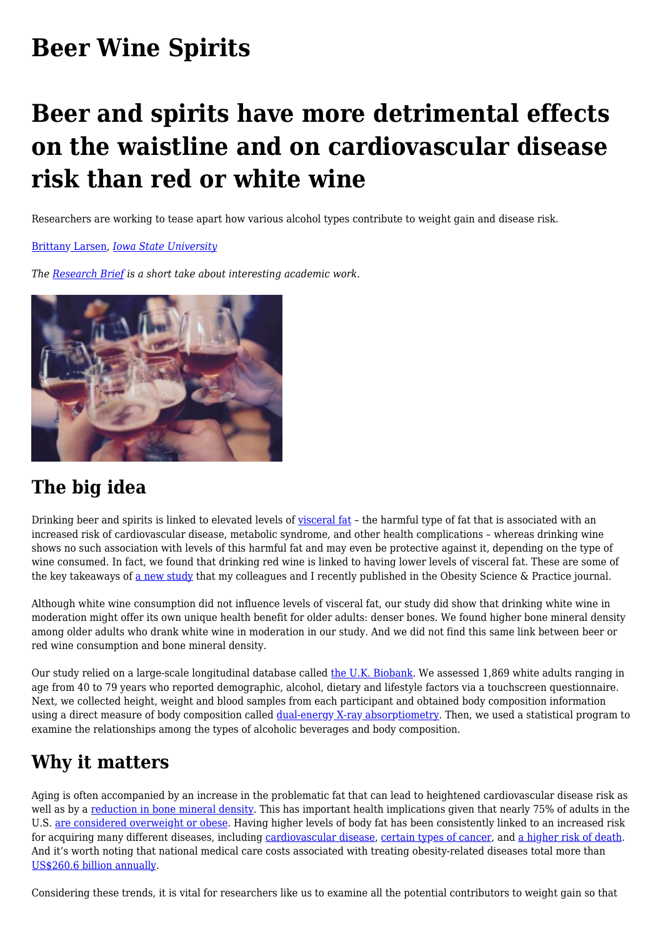## **[Beer Wine Spirits](https://www.melbpc.org.au/beer-wine-spirits/)**

# **Beer and spirits have more detrimental effects on the waistline and on cardiovascular disease risk than red or white wine**

Researchers are working to tease apart how various alcohol types contribute to weight gain and disease risk.

[Brittany Larsen,](https://theconversation.com/profiles/brittany-larsen-1322596) *[Iowa State University](https://theconversation.com/institutions/iowa-state-university-1322)*

*The [Research Brief](https://theconversation.com/us/topics/research-brief-83231) is a short take about interesting academic work.*



## **The big idea**

Drinking beer and spirits is linked to elevated levels of [visceral fat](https://doi.org/10.1259/bjr/38447238) – the harmful type of fat that is associated with an increased risk of cardiovascular disease, metabolic syndrome, and other health complications – whereas drinking wine shows no such association with levels of this harmful fat and may even be protective against it, depending on the type of wine consumed. In fact, we found that drinking red wine is linked to having lower levels of visceral fat. These are some of the key takeaways of [a new study](https://doi.org/10.1002/osp4.598) that my colleagues and I recently published in the Obesity Science & Practice journal.

Although white wine consumption did not influence levels of visceral fat, our study did show that drinking white wine in moderation might offer its own unique health benefit for older adults: denser bones. We found higher bone mineral density among older adults who drank white wine in moderation in our study. And we did not find this same link between beer or red wine consumption and bone mineral density.

Our study relied on a large-scale longitudinal database called [the U.K. Biobank.](https://www.ukbiobank.ac.uk/) We assessed 1,869 white adults ranging in age from 40 to 79 years who reported demographic, alcohol, dietary and lifestyle factors via a touchscreen questionnaire. Next, we collected height, weight and blood samples from each participant and obtained body composition information using a direct measure of body composition called [dual-energy X-ray absorptiometry](https://radiology.ucsf.edu/blog/dxadexa-beats-bmi-using-x-ray-exam-measure-body-composition-fat-loss). Then, we used a statistical program to examine the relationships among the types of alcoholic beverages and body composition.

### **Why it matters**

Aging is often accompanied by an increase in the problematic fat that can lead to heightened cardiovascular disease risk as well as by a [reduction in bone mineral density.](https://doi.org/10.1177/1759720X11430858) This has important health implications given that nearly 75% of adults in the U.S. [are considered overweight or obese.](https://www.cdc.gov/nchs/data/hestat/obesity-adult-17-18/overweight-obesity-adults-H.pdf) Having higher levels of body fat has been consistently linked to an increased [risk](https://doi.org/10.1056/NEJMoa0801891) [for acquiring many different diseases, including cardiovascular disease, certain types of cancer, and a higher risk of death.](https://doi.org/10.1056/NEJMoa0801891) [And it's worth noting that national medical care costs associated with treating obesity-related diseases total more](https://doi.org/10.1056/NEJMoa0801891) than [US\\$260.6 billion annually.](https://doi.org/10.18553/jmcp.2021.20410)

Considering these trends, it is vital for researchers like us to examine all the potential contributors to weight gain so that